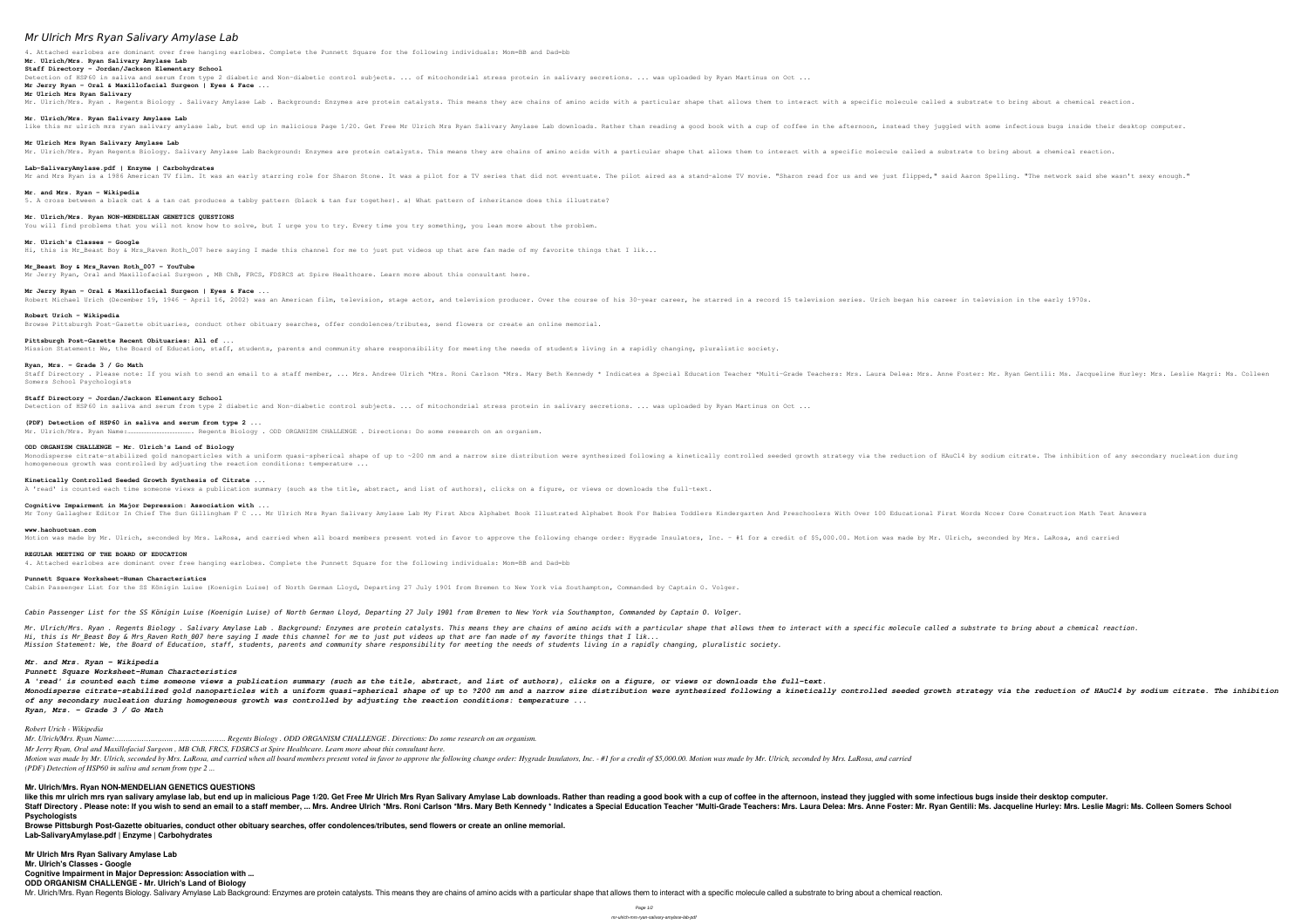# *Mr Ulrich Mrs Ryan Salivary Amylase Lab*

4. Attached earlobes are dominant over free hanging earlobes. Complete the Punnett Square for the following individuals: Mom=BB and Dad=bb **Mr. Ulrich/Mrs. Ryan Salivary Amylase Lab**

**Staff Directory - Jordan/Jackson Elementary School** Detection of HSP60 in saliva and serum from type 2 diabetic and Non-diabetic control subjects. .. of mitochondrial stress protein in salivary secretions. ... was uploaded by Ryan Martinus on Oct ... **Mr Jerry Ryan - Oral & Maxillofacial Surgeon | Eyes & Face ...**

### **Mr Ulrich Mrs Ryan Salivary**

Mr. Ulrich/Mrs. Ryan . Regents Biology . Salivary Amylase Lab . Background: Enzymes are protein catalysts. This means they are chains of amino acids with a specific olecule called a substrate to bring about a chemical reac **Mr. Ulrich/Mrs. Ryan Salivary Amylase Lab** like this mr ulrich mrs ryan salivary amylase lab, but end up in malicious Page 1/20. Get Free Mr Ulrich Mrs Ryan Salivary Amylase Lab downloads. Rather than reading a good book with a cup of coffee in the afternoon, inste **Mr Ulrich Mrs Ryan Salivary Amylase Lab** Mr. Ulrich/Mrs. Ryan Regents Biology. Salivary Amylase Lab Background: Enzymes are protein catalysts. This means they are chains of amino acids with a specific enclecule called a substrate to bring about a chemical reactio **Lab-SalivaryAmylase.pdf | Enzyme | Carbohydrates** Mr and Mrs Ryan is a 1986 American TV film. It was an early starring role for Sharon Stone. It was a pilot for a TV series that did not eventuate. The pilot aired as a stand-alone TV movie. "Sharon read for us and we just

Staff Directory . Please note: If you wish to send an email to a staff member, ... Mrs. Andree Ulrich \*Mrs. Andree Ulrich \*Mrs. Roni Carlson \*Mrs. Anne Foster: Mr. Ryan Gentili: Ms. Jacqueline Hurley: Mrs. Leslie Magri: Ms Somers School Psychologists

### **Mr. and Mrs. Ryan - Wikipedia**

5. A cross between a black cat & a tan cat produces a tabby pattern (black & tan fur together). a) What pattern of inheritance does this illustrate?

### **Mr. Ulrich/Mrs. Ryan NON-MENDELIAN GENETICS QUESTIONS**

You will find problems that you will not know how to solve, but I urge you to try. Every time you try something, you lean more about the problem.

# **Mr. Ulrich's Classes - Google**

Hi, this is Mr\_Beast Boy & Mrs\_Raven Roth\_007 here saying I made this channel for me to just put videos up that are fan made of my favorite things that I lik...

Monodisperse citrate-stabilized gold nanoparticles with a uniform quasi-spherical shape of up to ~200 nm and a narrow size distribution of HAuCl4 by sodium citrate. The inhibition of any secondary nucleation during Monodis homogeneous growth was controlled by adjusting the reaction conditions: temperature ...

# **Mr\_Beast Boy & Mrs\_Raven Roth\_007 - YouTube**

Mr Jerry Ryan, Oral and Maxillofacial Surgeon, MB ChB, FRCS, FDSRCS at Spire Healthcare. Learn more about this consultant here.

# **Mr Jerry Ryan - Oral & Maxillofacial Surgeon | Eyes & Face ...**

Robert Michael Urich (December 19, 1946 - April 16, 2002) was an American film, television, stage actor, and television producer. Over the course of his 30-year career, he starred in a record 15 television series. Urich be

# **Robert Urich - Wikipedia**

Browse Pittsburgh Post-Gazette obituaries, conduct other obituary searches, offer condolences/tributes, send flowers or create an online memorial.

### **Pittsburgh Post-Gazette Recent Obituaries: All of ...**

Mission Statement: We, the Board of Education, staff, students, parents and community share responsibility for meeting the needs of students living in a rapidly changing, pluralistic society.

### **Ryan, Mrs. - Grade 3 / Go Math**

Mr. Ulrich/Mrs. Ryan . Regents Biology . Salivary Amylase Lab . Background: Enzymes are protein catalysts. This means they are chains of amino acids with a particular shape that allows them to interact with a specific mole *Hi, this is Mr\_Beast Boy & Mrs\_Raven Roth\_007 here saying I made this channel for me to just put videos up that are fan made of my favorite things that I lik... Mission Statement: We, the Board of Education, staff, students, parents and community share responsibility for meeting the needs of students living in a rapidly changing, pluralistic society.*

## **Staff Directory - Jordan/Jackson Elementary School**

Detection of HSP60 in saliva and serum from type 2 diabetic and Non-diabetic control subjects. .. of mitochondrial stress protein in salivary secretions. ... was uploaded by Ryan Martinus on Oct ...

#### **(PDF) Detection of HSP60 in saliva and serum from type 2 ...**

Mr. Ulrich/Mrs. Ryan Name:…………………………………………. Regents Biology . ODD ORGANISM CHALLENGE . Directions: Do some research on an organism.

# **ODD ORGANISM CHALLENGE - Mr. Ulrich's Land of Biology**

like this mr ulrich mrs ryan salivary amylase lab, but end up in malicious Page 1/20. Get Free Mr Ulrich Mrs Ryan Salivary Amylase Lab downloads. Rather than reading a good book with a cup of coffee in the afternoon, inste Staff Directory . Please note: If you wish to send an email to a staff member, ... Mrs. Andree Ulrich \*Mrs. Andree Ulrich \*Mrs. Roni Carlson \*Mrs. Anne Foster: Mr. Ryan Gentili: Ms. Jacqueline Hurley: Mrs. Leslie Magri: Ms **Psychologists**

### **Kinetically Controlled Seeded Growth Synthesis of Citrate ...**

A 'read' is counted each time someone views a publication summary (such as the title, abstract, and list of authors), clicks on a figure, or views or downloads the full-text.

### **Cognitive Impairment in Major Depression: Association with ...**

Mr Tony Gallagher Editor In Chief The Sun Gillingham F C ... Mr Ulrich Mrs Ryan Salivary Amylase Lab My First Abcs Alphabet Book Illustrated Alphabet Book Illustrated Alphabet Book For Babies Toddlers With Over 100 Educati

### **www.haohuotuan.com**

Motion was made by Mr. Ulrich, seconded by Mrs. LaRosa, and carried when all board members present voted in favor to approve the following change order: Hygrade Insulators, Inc. - #1 for a credit of \$5,000.00. Motion was m

# **REGULAR MEETING OF THE BOARD OF EDUCATION**

4. Attached earlobes are dominant over free hanging earlobes. Complete the Punnett Square for the following individuals: Mom=BB and Dad=bb

# **Punnett Square Worksheet-Human Characteristics**

Cabin Passenger List for the SS Königin Luise (Koenigin Luise) of North German Lloyd, Departing 27 July 1901 from Bremen to New York via Southampton, Commanded by Captain O. Volger.

*Cabin Passenger List for the SS Königin Luise (Koenigin Luise) of North German Lloyd, Departing 27 July 1901 from Bremen to New York via Southampton, Commanded by Captain O. Volger.*

#### *Mr. and Mrs. Ryan - Wikipedia*

## *Punnett Square Worksheet-Human Characteristics*

*A 'read' is counted each time someone views a publication summary (such as the title, abstract, and list of authors), clicks on a figure, or views or downloads the full-text.* Monodisperse citrate-stabilized gold nanoparticles with a uniform quasi-spherical shape of up to ?200 nm and a narrow size distribution were synthesized following a kinetically controlled seeded growth strategy via the red *of any secondary nucleation during homogeneous growth was controlled by adjusting the reaction conditions: temperature ... Ryan, Mrs. - Grade 3 / Go Math*

# *Robert Urich - Wikipedia*

*Mr. Ulrich/Mrs. Ryan Name:…………………………………………. Regents Biology . ODD ORGANISM CHALLENGE . Directions: Do some research on an organism. Mr Jerry Ryan, Oral and Maxillofacial Surgeon , MB ChB, FRCS, FDSRCS at Spire Healthcare. Learn more about this consultant here.* Motion was made by Mr. Ulrich, seconded by Mrs. LaRosa, and carried when all board members present voted in favor to approve the following change order: Hygrade Insulators, Inc. - #1 for a credit of \$5,000.00. Motion was m *(PDF) Detection of HSP60 in saliva and serum from type 2 ...*

# **Mr. Ulrich/Mrs. Ryan NON-MENDELIAN GENETICS QUESTIONS**

**Browse Pittsburgh Post-Gazette obituaries, conduct other obituary searches, offer condolences/tributes, send flowers or create an online memorial. Lab-SalivaryAmylase.pdf | Enzyme | Carbohydrates**

# **Mr Ulrich Mrs Ryan Salivary Amylase Lab**

**Mr. Ulrich's Classes - Google**

**Cognitive Impairment in Major Depression: Association with ...**

**ODD ORGANISM CHALLENGE - Mr. Ulrich's Land of Biology**

Mr. Ulrich/Mrs. Ryan Regents Biology. Salivary Amylase Lab Background: Enzymes are protein catalysts. This means they are chains of amino acids with a particular shape that allows them to interact with a specific molecule